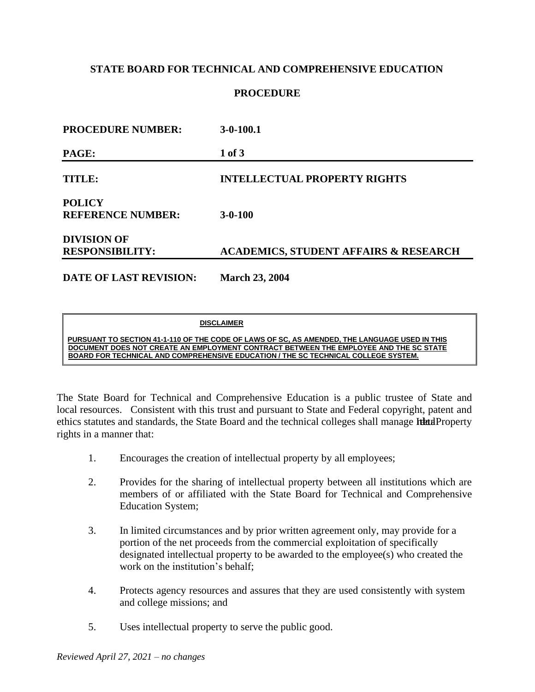# **STATE BOARD FOR TECHNICAL AND COMPREHENSIVE EDUCATION**

## **PROCEDURE**

| <b>PROCEDURE NUMBER:</b>                     | $3-0-100.1$                                      |  |
|----------------------------------------------|--------------------------------------------------|--|
| PAGE:                                        | 1 of 3                                           |  |
| TITLE:                                       | <b>INTELLECTUAL PROPERTY RIGHTS</b>              |  |
| <b>POLICY</b><br><b>REFERENCE NUMBER:</b>    | $3 - 0 - 100$                                    |  |
| <b>DIVISION OF</b><br><b>RESPONSIBILITY:</b> | <b>ACADEMICS, STUDENT AFFAIRS &amp; RESEARCH</b> |  |
| DATE OF LAST REVISION:                       | <b>March 23, 2004</b>                            |  |

#### **DISCLAIMER**

**PURSUANT TO SECTION 41-1-110 OF THE CODE OF LAWS OF SC, AS AMENDED, THE LANGUAGE USED IN THIS DOCUMENT DOES NOT CREATE AN EMPLOYMENT CONTRACT BETWEEN THE EMPLOYEE AND THE SC STATE BOARD FOR TECHNICAL AND COMPREHENSIVE EDUCATION / THE SC TECHNICAL COLLEGE SYSTEM.**

The State Board for Technical and Comprehensive Education is a public trustee of State and local resources. Consistent with this trust and pursuant to State and Federal copyright, patent and ethics statutes and standards, the State Board and the technical colleges shall manage Ithat Property rights in a manner that:

- 1. Encourages the creation of intellectual property by all employees;
- 2. Provides for the sharing of intellectual property between all institutions which are members of or affiliated with the State Board for Technical and Comprehensive Education System;
- 3. In limited circumstances and by prior written agreement only, may provide for a portion of the net proceeds from the commercial exploitation of specifically designated intellectual property to be awarded to the employee(s) who created the work on the institution's behalf;
- 4. Protects agency resources and assures that they are used consistently with system and college missions; and
- 5. Uses intellectual property to serve the public good.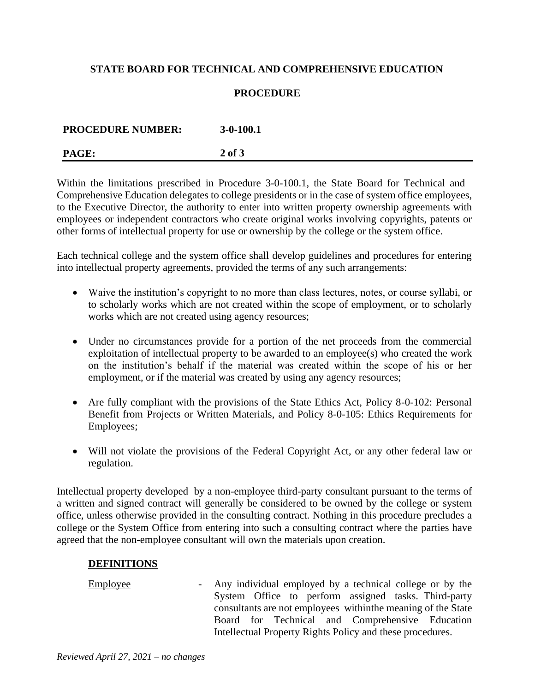# **STATE BOARD FOR TECHNICAL AND COMPREHENSIVE EDUCATION**

## **PROCEDURE**

| <b>PROCEDURE NUMBER:</b> | $3-0-100.1$ |
|--------------------------|-------------|
| PAGE:                    | $2$ of $3$  |

Within the limitations prescribed in Procedure 3-0-100.1, the State Board for Technical and Comprehensive Education delegates to college presidents or in the case of system office employees, to the Executive Director, the authority to enter into written property ownership agreements with employees or independent contractors who create original works involving copyrights, patents or other forms of intellectual property for use or ownership by the college or the system office.

Each technical college and the system office shall develop guidelines and procedures for entering into intellectual property agreements, provided the terms of any such arrangements:

- Waive the institution's copyright to no more than class lectures, notes, or course syllabi, or to scholarly works which are not created within the scope of employment, or to scholarly works which are not created using agency resources;
- Under no circumstances provide for a portion of the net proceeds from the commercial exploitation of intellectual property to be awarded to an employee(s) who created the work on the institution's behalf if the material was created within the scope of his or her employment, or if the material was created by using any agency resources;
- Are fully compliant with the provisions of the State Ethics Act, Policy 8-0-102: Personal Benefit from Projects or Written Materials, and Policy 8-0-105: Ethics Requirements for Employees;
- Will not violate the provisions of the Federal Copyright Act, or any other federal law or regulation.

Intellectual property developed by a non-employee third-party consultant pursuant to the terms of a written and signed contract will generally be considered to be owned by the college or system office, unless otherwise provided in the consulting contract. Nothing in this procedure precludes a college or the System Office from entering into such a consulting contract where the parties have agreed that the non-employee consultant will own the materials upon creation.

#### **DEFINITIONS**

Employee - Any individual employed by a technical college or by the System Office to perform assigned tasks. Third-party consultants are not employees withinthe meaning of the State Board for Technical and Comprehensive Education Intellectual Property Rights Policy and these procedures.